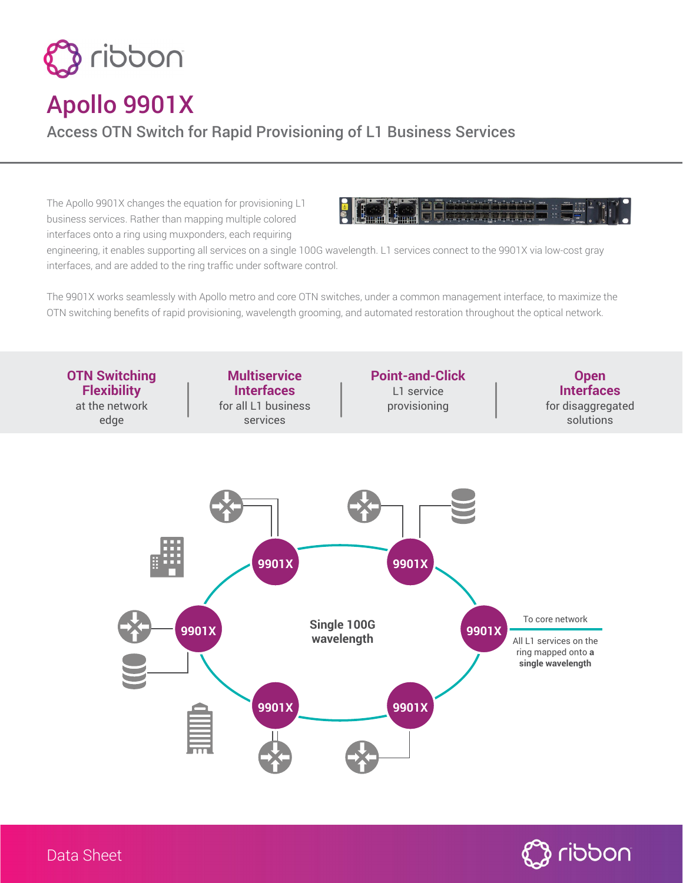

## Apollo 9901X

Access OTN Switch for Rapid Provisioning of L1 Business Services

The Apollo 9901X changes the equation for provisioning L1 business services. Rather than mapping multiple colored interfaces onto a ring using muxponders, each requiring



engineering, it enables supporting all services on a single 100G wavelength. L1 services connect to the 9901X via low-cost gray interfaces, and are added to the ring traffic under software control.

The 9901X works seamlessly with Apollo metro and core OTN switches, under a common management interface, to maximize the OTN switching benefits of rapid provisioning, wavelength grooming, and automated restoration throughout the optical network.